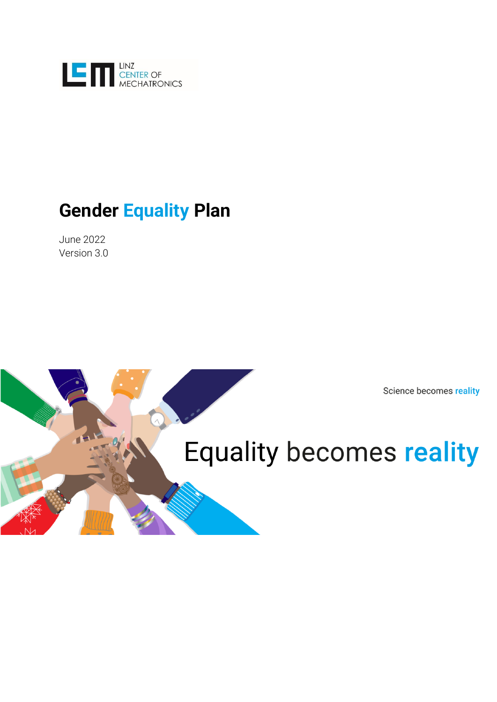

# **Gender Equality Plan**

June 2022 Version 3.0

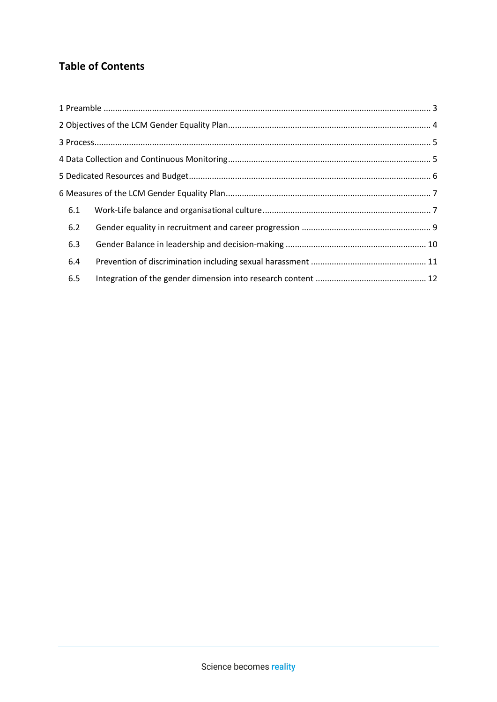# **Table of Contents**

| 6.1 |  |
|-----|--|
| 6.2 |  |
| 6.3 |  |
| 6.4 |  |
| 6.5 |  |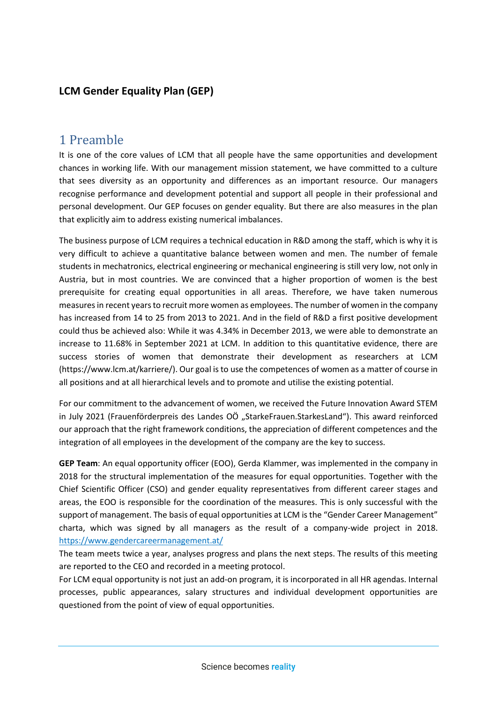### **LCM Gender Equality Plan (GEP)**

### <span id="page-2-0"></span>1 Preamble

It is one of the core values of LCM that all people have the same opportunities and development chances in working life. With our management mission statement, we have committed to a culture that sees diversity as an opportunity and differences as an important resource. Our managers recognise performance and development potential and support all people in their professional and personal development. Our GEP focuses on gender equality. But there are also measures in the plan that explicitly aim to address existing numerical imbalances.

The business purpose of LCM requires a technical education in R&D among the staff, which is why it is very difficult to achieve a quantitative balance between women and men. The number of female students in mechatronics, electrical engineering or mechanical engineering is still very low, not only in Austria, but in most countries. We are convinced that a higher proportion of women is the best prerequisite for creating equal opportunities in all areas. Therefore, we have taken numerous measures in recent years to recruit more women as employees. The number of women in the company has increased from 14 to 25 from 2013 to 2021. And in the field of R&D a first positive development could thus be achieved also: While it was 4.34% in December 2013, we were able to demonstrate an increase to 11.68% in September 2021 at LCM. In addition to this quantitative evidence, there are success stories of women that demonstrate their development as researchers at LCM (https://www.lcm.at/karriere/). Our goal is to use the competences of women as a matter of course in all positions and at all hierarchical levels and to promote and utilise the existing potential.

For our commitment to the advancement of women, we received the Future Innovation Award STEM in July 2021 (Frauenförderpreis des Landes OÖ "StarkeFrauen.StarkesLand"). This award reinforced our approach that the right framework conditions, the appreciation of different competences and the integration of all employees in the development of the company are the key to success.

**GEP Team**: An equal opportunity officer (EOO), Gerda Klammer, was implemented in the company in 2018 for the structural implementation of the measures for equal opportunities. Together with the Chief Scientific Officer (CSO) and gender equality representatives from different career stages and areas, the EOO is responsible for the coordination of the measures. This is only successful with the support of management. The basis of equal opportunities at LCM is the "Gender Career Management" charta, which was signed by all managers as the result of a company-wide project in 2018. https://www.gendercareermanagement.at/

The team meets twice a year, analyses progress and plans the next steps. The results of this meeting are reported to the CEO and recorded in a meeting protocol.

For LCM equal opportunity is not just an add-on program, it is incorporated in all HR agendas. Internal processes, public appearances, salary structures and individual development opportunities are questioned from the point of view of equal opportunities.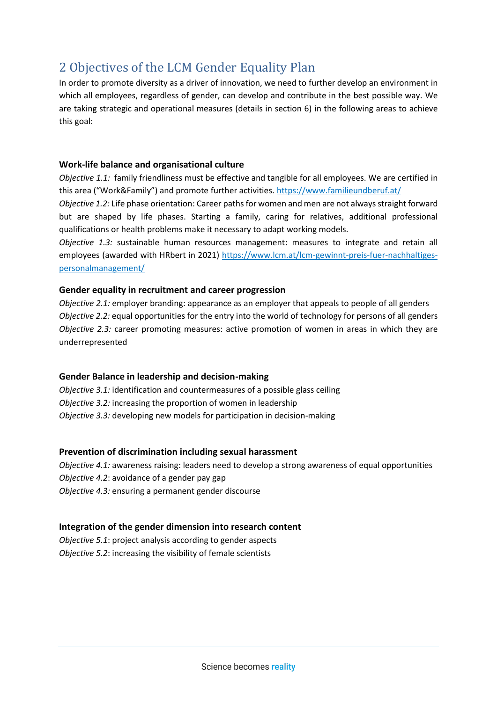# <span id="page-3-0"></span>2 Objectives of the LCM Gender Equality Plan

In order to promote diversity as a driver of innovation, we need to further develop an environment in which all employees, regardless of gender, can develop and contribute in the best possible way. We are taking strategic and operational measures (details in section 6) in the following areas to achieve this goal:

#### **Work-life balance and organisational culture**

*Objective 1.1:* family friendliness must be effective and tangible for all employees. We are certified in this area ("Work&Family") and promote further activities. https://www.familieundberuf.at/

*Objective 1.2:* Life phase orientation: Career paths for women and men are not always straight forward but are shaped by life phases. Starting a family, caring for relatives, additional professional qualifications or health problems make it necessary to adapt working models.

*Objective 1.3:* sustainable human resources management: measures to integrate and retain all employees (awarded with HRbert in 2021) https://www.lcm.at/lcm-gewinnt-preis-fuer-nachhaltigespersonalmanagement/

#### **Gender equality in recruitment and career progression**

*Objective 2.1:* employer branding: appearance as an employer that appeals to people of all genders *Objective 2.2:* equal opportunities for the entry into the world of technology for persons of all genders *Objective 2.3:* career promoting measures: active promotion of women in areas in which they are underrepresented

#### **Gender Balance in leadership and decision-making**

*Objective 3.1:* identification and countermeasures of a possible glass ceiling *Objective 3.2:* increasing the proportion of women in leadership *Objective 3.3:* developing new models for participation in decision-making

#### **Prevention of discrimination including sexual harassment**

*Objective 4.1:* awareness raising: leaders need to develop a strong awareness of equal opportunities *Objective 4.2*: avoidance of a gender pay gap *Objective 4.3:* ensuring a permanent gender discourse

#### **Integration of the gender dimension into research content**

*Objective 5.1*: project analysis according to gender aspects *Objective 5.2*: increasing the visibility of female scientists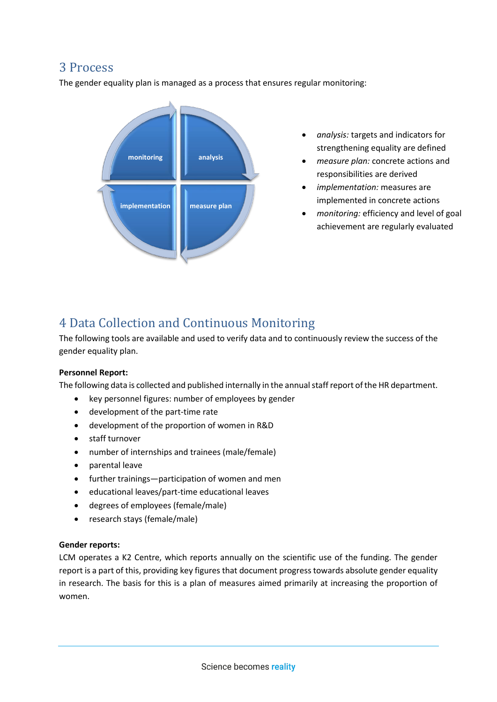### <span id="page-4-0"></span>3 Process

The gender equality plan is managed as a process that ensures regular monitoring:



- *analysis:* targets and indicators for strengthening equality are defined
- *measure plan:* concrete actions and responsibilities are derived
- *implementation:* measures are implemented in concrete actions
- *monitoring:* efficiency and level of goal achievement are regularly evaluated

# <span id="page-4-1"></span>4 Data Collection and Continuous Monitoring

The following tools are available and used to verify data and to continuously review the success of the gender equality plan.

#### **Personnel Report:**

The following data is collected and published internally in the annual staff report of the HR department.

- key personnel figures: number of employees by gender
- development of the part-time rate
- development of the proportion of women in R&D
- staff turnover
- number of internships and trainees (male/female)
- parental leave
- further trainings—participation of women and men
- educational leaves/part-time educational leaves
- degrees of employees (female/male)
- research stays (female/male)

#### **Gender reports:**

LCM operates a K2 Centre, which reports annually on the scientific use of the funding. The gender report is a part of this, providing key figures that document progress towards absolute gender equality in research. The basis for this is a plan of measures aimed primarily at increasing the proportion of women.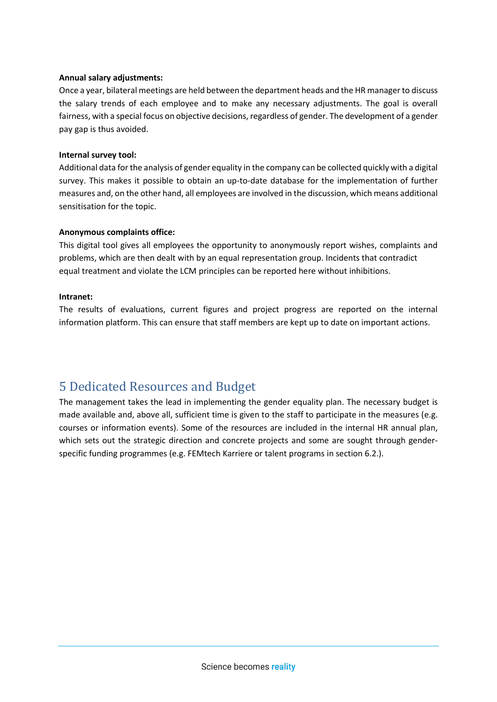#### **Annual salary adjustments:**

Once a year, bilateral meetings are held between the department heads and the HR manager to discuss the salary trends of each employee and to make any necessary adjustments. The goal is overall fairness, with a special focus on objective decisions, regardless of gender. The development of a gender pay gap is thus avoided.

#### **Internal survey tool:**

Additional data for the analysis of gender equality in the company can be collected quickly with a digital survey. This makes it possible to obtain an up-to-date database for the implementation of further measures and, on the other hand, all employees are involved in the discussion, which means additional sensitisation for the topic.

#### **Anonymous complaints office:**

This digital tool gives all employees the opportunity to anonymously report wishes, complaints and problems, which are then dealt with by an equal representation group. Incidents that contradict equal treatment and violate the LCM principles can be reported here without inhibitions.

#### **Intranet:**

The results of evaluations, current figures and project progress are reported on the internal information platform. This can ensure that staff members are kept up to date on important actions.

# <span id="page-5-0"></span>5 Dedicated Resources and Budget

The management takes the lead in implementing the gender equality plan. The necessary budget is made available and, above all, sufficient time is given to the staff to participate in the measures (e.g. courses or information events). Some of the resources are included in the internal HR annual plan, which sets out the strategic direction and concrete projects and some are sought through genderspecific funding programmes (e.g. FEMtech Karriere or talent programs in section 6.2.).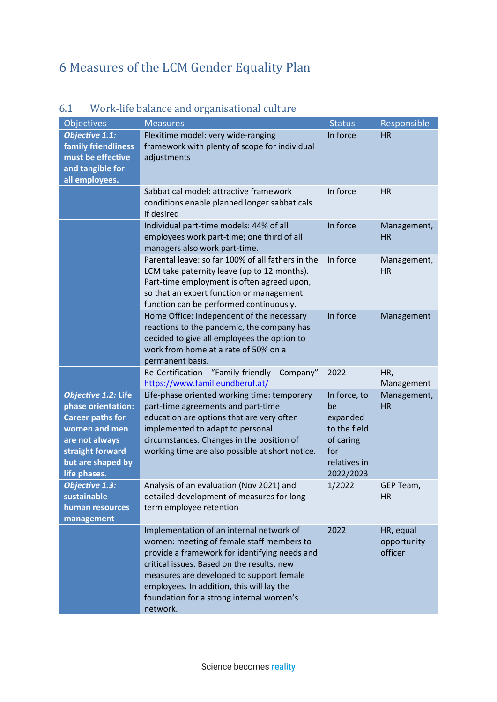# <span id="page-6-0"></span>6 Measures of the LCM Gender Equality Plan

| <b>Objectives</b>                                                                                                                                                | <b>Measures</b>                                                                                                                                                                                                                                                                                                                       | <b>Status</b>                                                                                   | Responsible                         |
|------------------------------------------------------------------------------------------------------------------------------------------------------------------|---------------------------------------------------------------------------------------------------------------------------------------------------------------------------------------------------------------------------------------------------------------------------------------------------------------------------------------|-------------------------------------------------------------------------------------------------|-------------------------------------|
| <b>Objective 1.1:</b><br><b>family friendliness</b><br>must be effective<br>and tangible for<br>all employees.                                                   | Flexitime model: very wide-ranging<br>framework with plenty of scope for individual<br>adjustments                                                                                                                                                                                                                                    | In force                                                                                        | <b>HR</b>                           |
|                                                                                                                                                                  | Sabbatical model: attractive framework<br>conditions enable planned longer sabbaticals<br>if desired                                                                                                                                                                                                                                  | In force                                                                                        | <b>HR</b>                           |
|                                                                                                                                                                  | Individual part-time models: 44% of all<br>employees work part-time; one third of all<br>managers also work part-time.                                                                                                                                                                                                                | In force                                                                                        | Management,<br><b>HR</b>            |
|                                                                                                                                                                  | Parental leave: so far 100% of all fathers in the<br>LCM take paternity leave (up to 12 months).<br>Part-time employment is often agreed upon,<br>so that an expert function or management<br>function can be performed continuously.                                                                                                 | In force                                                                                        | Management,<br><b>HR</b>            |
|                                                                                                                                                                  | Home Office: Independent of the necessary<br>reactions to the pandemic, the company has<br>decided to give all employees the option to<br>work from home at a rate of 50% on a<br>permanent basis.                                                                                                                                    | In force                                                                                        | Management                          |
|                                                                                                                                                                  | Re-Certification<br>"Family-friendly Company"<br>https://www.familieundberuf.at/                                                                                                                                                                                                                                                      | 2022                                                                                            | HR,<br>Management                   |
| Objective 1.2: Life<br>phase orientation:<br><b>Career paths for</b><br>women and men<br>are not always<br>straight forward<br>but are shaped by<br>life phases. | Life-phase oriented working time: temporary<br>part-time agreements and part-time<br>education are options that are very often<br>implemented to adapt to personal<br>circumstances. Changes in the position of<br>working time are also possible at short notice.                                                                    | In force, to<br>be<br>expanded<br>to the field<br>of caring<br>for<br>relatives in<br>2022/2023 | Management,<br><b>HR</b>            |
| <b>Objective 1.3:</b><br>sustainable<br>human resources<br>management                                                                                            | Analysis of an evaluation (Nov 2021) and<br>detailed development of measures for long-<br>term employee retention                                                                                                                                                                                                                     | 1/2022                                                                                          | GEP Team<br><b>HR</b>               |
|                                                                                                                                                                  | Implementation of an internal network of<br>women: meeting of female staff members to<br>provide a framework for identifying needs and<br>critical issues. Based on the results, new<br>measures are developed to support female<br>employees. In addition, this will lay the<br>foundation for a strong internal women's<br>network. | 2022                                                                                            | HR, equal<br>opportunity<br>officer |

### <span id="page-6-1"></span>6.1 Work-life balance and organisational culture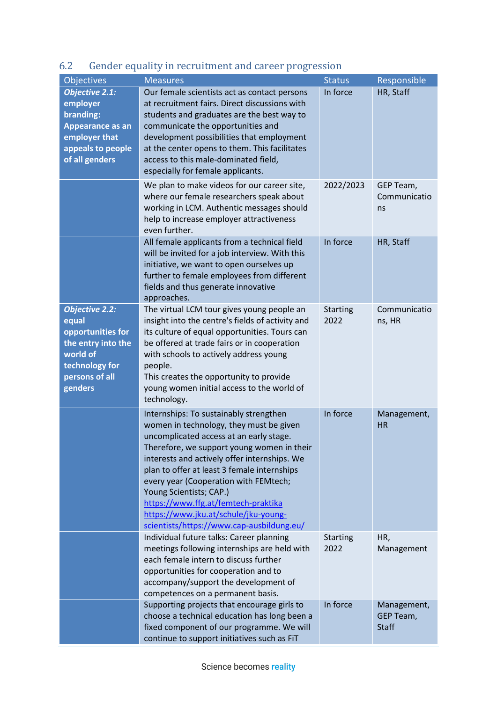| Objectives                                                                                                                           | <b>Measures</b>                                                                                                                                                                                                                                                                                                                                                                                                                                                           | <b>Status</b>           | Responsible                              |
|--------------------------------------------------------------------------------------------------------------------------------------|---------------------------------------------------------------------------------------------------------------------------------------------------------------------------------------------------------------------------------------------------------------------------------------------------------------------------------------------------------------------------------------------------------------------------------------------------------------------------|-------------------------|------------------------------------------|
| <b>Objective 2.1:</b><br>employer<br>branding:<br>Appearance as an<br>employer that<br>appeals to people<br>of all genders           | Our female scientists act as contact persons<br>at recruitment fairs. Direct discussions with<br>students and graduates are the best way to<br>communicate the opportunities and<br>development possibilities that employment<br>at the center opens to them. This facilitates<br>access to this male-dominated field,<br>especially for female applicants.                                                                                                               | In force                | HR, Staff                                |
|                                                                                                                                      | We plan to make videos for our career site,<br>where our female researchers speak about<br>working in LCM. Authentic messages should<br>help to increase employer attractiveness<br>even further.                                                                                                                                                                                                                                                                         | 2022/2023               | GEP Team,<br>Communicatio<br>ns          |
|                                                                                                                                      | All female applicants from a technical field<br>will be invited for a job interview. With this<br>initiative, we want to open ourselves up<br>further to female employees from different<br>fields and thus generate innovative<br>approaches.                                                                                                                                                                                                                            | In force                | HR, Staff                                |
| <b>Objective 2.2:</b><br>equal<br>opportunities for<br>the entry into the<br>world of<br>technology for<br>persons of all<br>genders | The virtual LCM tour gives young people an<br>insight into the centre's fields of activity and<br>its culture of equal opportunities. Tours can<br>be offered at trade fairs or in cooperation<br>with schools to actively address young<br>people.<br>This creates the opportunity to provide<br>young women initial access to the world of<br>technology.                                                                                                               | <b>Starting</b><br>2022 | Communicatio<br>ns, HR                   |
|                                                                                                                                      | Internships: To sustainably strengthen<br>women in technology, they must be given<br>uncomplicated access at an early stage.<br>Therefore, we support young women in their<br>interests and actively offer internships. We<br>plan to offer at least 3 female internships<br>every year (Cooperation with FEMtech;<br>Young Scientists; CAP.)<br>https://www.ffg.at/femtech-praktika<br>https://www.jku.at/schule/jku-young-<br>scientists/https://www.cap-ausbildung.eu/ | In force                | Management,<br><b>HR</b>                 |
|                                                                                                                                      | Individual future talks: Career planning<br>meetings following internships are held with<br>each female intern to discuss further<br>opportunities for cooperation and to<br>accompany/support the development of<br>competences on a permanent basis.                                                                                                                                                                                                                    | <b>Starting</b><br>2022 | HR,<br>Management                        |
|                                                                                                                                      | Supporting projects that encourage girls to<br>choose a technical education has long been a<br>fixed component of our programme. We will<br>continue to support initiatives such as FiT                                                                                                                                                                                                                                                                                   | In force                | Management,<br>GEP Team,<br><b>Staff</b> |

# <span id="page-8-0"></span>6.2 Gender equality in recruitment and career progression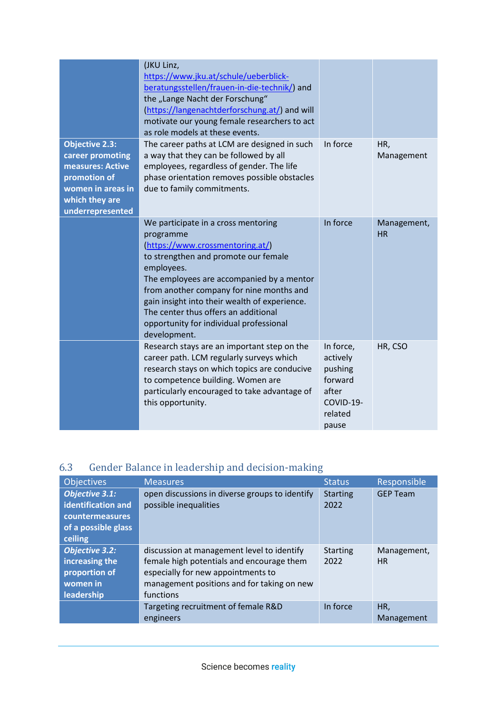|                                                                                                                                          | (JKU Linz,<br>https://www.jku.at/schule/ueberblick-<br>beratungsstellen/frauen-in-die-technik/) and<br>the "Lange Nacht der Forschung"<br>(https://langenachtderforschung.at/) and will<br>motivate our young female researchers to act<br>as role models at these events.                                                                                                              |                                                                                       |                   |
|------------------------------------------------------------------------------------------------------------------------------------------|-----------------------------------------------------------------------------------------------------------------------------------------------------------------------------------------------------------------------------------------------------------------------------------------------------------------------------------------------------------------------------------------|---------------------------------------------------------------------------------------|-------------------|
| <b>Objective 2.3:</b><br>career promoting<br>measures: Active<br>promotion of<br>women in areas in<br>which they are<br>underrepresented | The career paths at LCM are designed in such<br>a way that they can be followed by all<br>employees, regardless of gender. The life<br>phase orientation removes possible obstacles<br>due to family commitments.                                                                                                                                                                       | In force                                                                              | HR,<br>Management |
|                                                                                                                                          | We participate in a cross mentoring<br>programme<br>(https://www.crossmentoring.at/)<br>to strengthen and promote our female<br>employees.<br>The employees are accompanied by a mentor<br>from another company for nine months and<br>gain insight into their wealth of experience.<br>The center thus offers an additional<br>opportunity for individual professional<br>development. | In force                                                                              | Management,<br>HR |
|                                                                                                                                          | Research stays are an important step on the<br>career path. LCM regularly surveys which<br>research stays on which topics are conducive<br>to competence building. Women are<br>particularly encouraged to take advantage of<br>this opportunity.                                                                                                                                       | In force,<br>actively<br>pushing<br>forward<br>after<br>COVID-19-<br>related<br>pause | HR, CSO           |

# <span id="page-9-0"></span>6.3 Gender Balance in leadership and decision-making

| <b>Objectives</b>                                                                                | <b>Measures</b>                                                                                                                                                                          | <b>Status</b>           | Responsible              |
|--------------------------------------------------------------------------------------------------|------------------------------------------------------------------------------------------------------------------------------------------------------------------------------------------|-------------------------|--------------------------|
| <b>Objective 3.1:</b><br>identification and<br>countermeasures<br>of a possible glass<br>ceiling | open discussions in diverse groups to identify<br>possible inequalities                                                                                                                  | <b>Starting</b><br>2022 | <b>GEP Team</b>          |
| <b>Objective 3.2:</b><br>increasing the<br>proportion of<br>women in<br>leadership               | discussion at management level to identify<br>female high potentials and encourage them<br>especially for new appointments to<br>management positions and for taking on new<br>functions | <b>Starting</b><br>2022 | Management,<br><b>HR</b> |
|                                                                                                  | Targeting recruitment of female R&D<br>engineers                                                                                                                                         | In force                | HR,<br>Management        |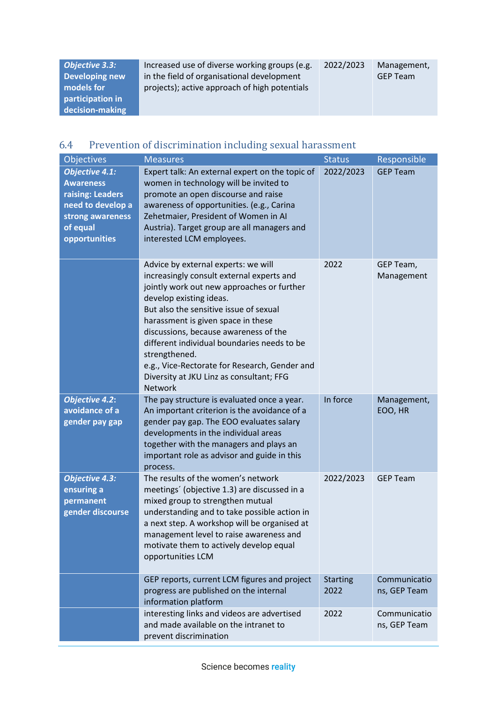| Objective 3.3:   | Increased use of diverse working groups (e.g. | 2022/2023 | Management,     |
|------------------|-----------------------------------------------|-----------|-----------------|
| Developing new   | in the field of organisational development    |           | <b>GEP Team</b> |
| models for       | projects); active approach of high potentials |           |                 |
| participation in |                                               |           |                 |
| decision-making  |                                               |           |                 |

# <span id="page-10-0"></span>6.4 Prevention of discrimination including sexual harassment

| Objectives                                                                                                                          | <b>Measures</b>                                                                                                                                                                                                                                                                                                                                                                                                                                                   | <b>Status</b>           | Responsible                  |
|-------------------------------------------------------------------------------------------------------------------------------------|-------------------------------------------------------------------------------------------------------------------------------------------------------------------------------------------------------------------------------------------------------------------------------------------------------------------------------------------------------------------------------------------------------------------------------------------------------------------|-------------------------|------------------------------|
| <b>Objective 4.1:</b><br><b>Awareness</b><br>raising: Leaders<br>need to develop a<br>strong awareness<br>of equal<br>opportunities | Expert talk: An external expert on the topic of<br>women in technology will be invited to<br>promote an open discourse and raise<br>awareness of opportunities. (e.g., Carina<br>Zehetmaier, President of Women in Al<br>Austria). Target group are all managers and<br>interested LCM employees.                                                                                                                                                                 | 2022/2023               | <b>GEP Team</b>              |
|                                                                                                                                     | Advice by external experts: we will<br>increasingly consult external experts and<br>jointly work out new approaches or further<br>develop existing ideas.<br>But also the sensitive issue of sexual<br>harassment is given space in these<br>discussions, because awareness of the<br>different individual boundaries needs to be<br>strengthened.<br>e.g., Vice-Rectorate for Research, Gender and<br>Diversity at JKU Linz as consultant; FFG<br><b>Network</b> | 2022                    | GEP Team,<br>Management      |
| <b>Objective 4.2:</b><br>avoidance of a<br>gender pay gap                                                                           | The pay structure is evaluated once a year.<br>An important criterion is the avoidance of a<br>gender pay gap. The EOO evaluates salary<br>developments in the individual areas<br>together with the managers and plays an<br>important role as advisor and guide in this<br>process.                                                                                                                                                                             | In force                | Management,<br>EOO, HR       |
| <b>Objective 4.3:</b><br>ensuring a<br>permanent<br>gender discourse                                                                | The results of the women's network<br>meetings' (objective 1.3) are discussed in a<br>mixed group to strengthen mutual<br>understanding and to take possible action in<br>a next step. A workshop will be organised at<br>management level to raise awareness and<br>motivate them to actively develop equal<br>opportunities LCM                                                                                                                                 | 2022/2023               | <b>GEP Team</b>              |
|                                                                                                                                     | GEP reports, current LCM figures and project<br>progress are published on the internal<br>information platform                                                                                                                                                                                                                                                                                                                                                    | <b>Starting</b><br>2022 | Communicatio<br>ns, GEP Team |
|                                                                                                                                     | interesting links and videos are advertised<br>and made available on the intranet to<br>prevent discrimination                                                                                                                                                                                                                                                                                                                                                    | 2022                    | Communicatio<br>ns, GEP Team |